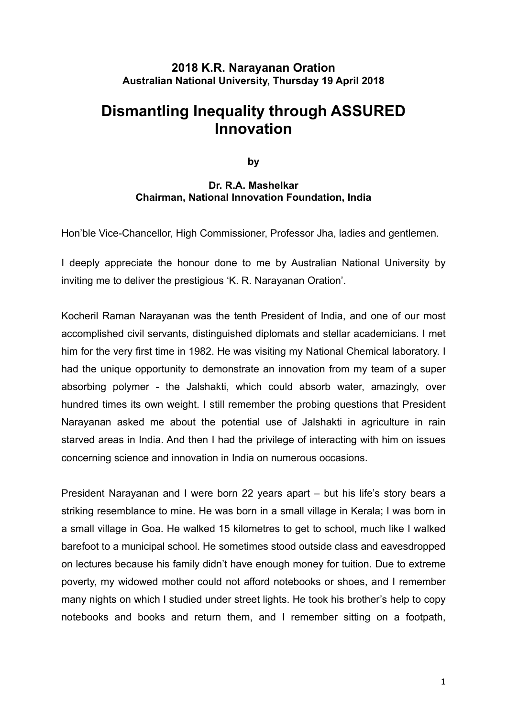# **2018 K.R. Narayanan Oration Australian National University, Thursday 19 April 2018**

# **Dismantling Inequality through ASSURED Innovation**

**by** 

## **Dr. R.A. Mashelkar Chairman, National Innovation Foundation, India**

Hon'ble Vice-Chancellor, High Commissioner, Professor Jha, ladies and gentlemen.

I deeply appreciate the honour done to me by Australian National University by inviting me to deliver the prestigious 'K. R. Narayanan Oration'.

Kocheril Raman Narayanan was the tenth President of India, and one of our most accomplished civil servants, distinguished diplomats and stellar academicians. I met him for the very first time in 1982. He was visiting my National Chemical laboratory. I had the unique opportunity to demonstrate an innovation from my team of a super absorbing polymer - the Jalshakti, which could absorb water, amazingly, over hundred times its own weight. I still remember the probing questions that President Narayanan asked me about the potential use of Jalshakti in agriculture in rain starved areas in India. And then I had the privilege of interacting with him on issues concerning science and innovation in India on numerous occasions.

President Narayanan and I were born 22 years apart – but his life's story bears a striking resemblance to mine. He was born in a small village in Kerala; I was born in a small village in Goa. He walked 15 kilometres to get to school, much like I walked barefoot to a municipal school. He sometimes stood outside class and eavesdropped on lectures because his family didn't have enough money for tuition. Due to extreme poverty, my widowed mother could not afford notebooks or shoes, and I remember many nights on which I studied under street lights. He took his brother's help to copy notebooks and books and return them, and I remember sitting on a footpath,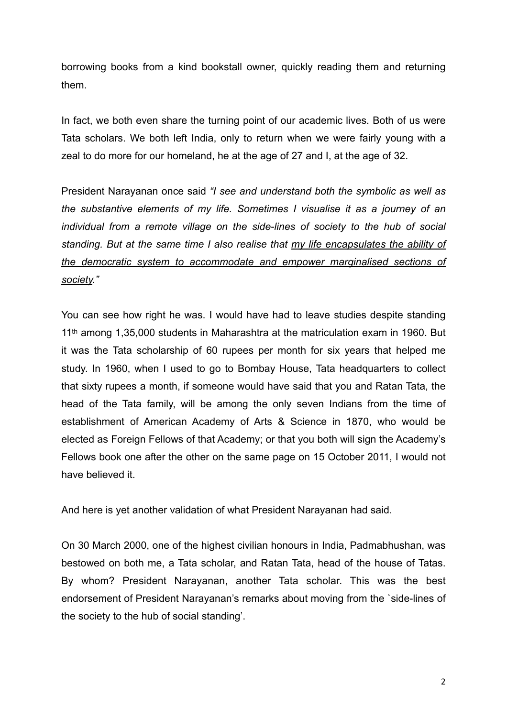borrowing books from a kind bookstall owner, quickly reading them and returning them.

In fact, we both even share the turning point of our academic lives. Both of us were Tata scholars. We both left India, only to return when we were fairly young with a zeal to do more for our homeland, he at the age of 27 and I, at the age of 32.

President Narayanan once said *"I see and understand both the symbolic as well as the substantive elements of my life. Sometimes I visualise it as a journey of an individual from a remote village on the side-lines of society to the hub of social standing. But at the same time I also realise that my life encapsulates the ability of the democratic system to accommodate and empower marginalised sections of society."*

You can see how right he was. I would have had to leave studies despite standing 11th among 1,35,000 students in Maharashtra at the matriculation exam in 1960. But it was the Tata scholarship of 60 rupees per month for six years that helped me study. In 1960, when I used to go to Bombay House, Tata headquarters to collect that sixty rupees a month, if someone would have said that you and Ratan Tata, the head of the Tata family, will be among the only seven Indians from the time of establishment of American Academy of Arts & Science in 1870, who would be elected as Foreign Fellows of that Academy; or that you both will sign the Academy's Fellows book one after the other on the same page on 15 October 2011, I would not have believed it.

And here is yet another validation of what President Narayanan had said.

On 30 March 2000, one of the highest civilian honours in India, Padmabhushan, was bestowed on both me, a Tata scholar, and Ratan Tata, head of the house of Tatas. By whom? President Narayanan, another Tata scholar. This was the best endorsement of President Narayanan's remarks about moving from the `side-lines of the society to the hub of social standing'.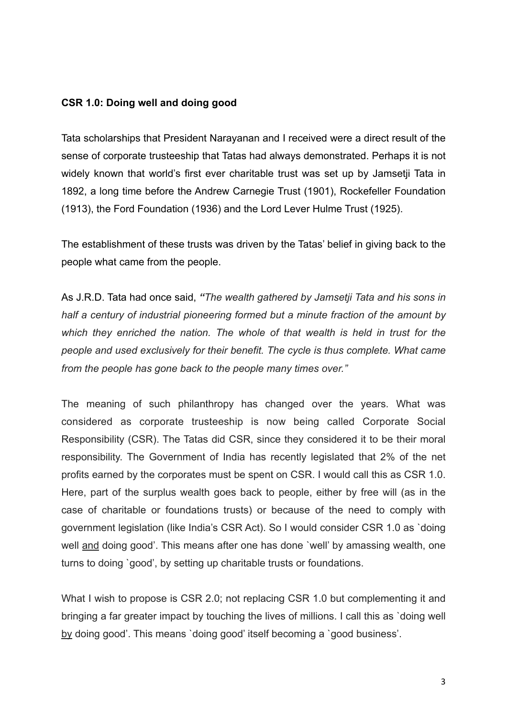### **CSR 1.0: Doing well and doing good**

Tata scholarships that President Narayanan and I received were a direct result of the sense of corporate trusteeship that Tatas had always demonstrated. Perhaps it is not widely known that world's first ever charitable trust was set up by Jamsetji Tata in 1892, a long time before the Andrew Carnegie Trust (1901), Rockefeller Foundation (1913), the Ford Foundation (1936) and the Lord Lever Hulme Trust (1925).

The establishment of these trusts was driven by the Tatas' belief in giving back to the people what came from the people.

As J.R.D. Tata had once said, *"The wealth gathered by Jamsetji Tata and his sons in half a century of industrial pioneering formed but a minute fraction of the amount by which they enriched the nation. The whole of that wealth is held in trust for the people and used exclusively for their benefit. The cycle is thus complete. What came from the people has gone back to the people many times over."*

The meaning of such philanthropy has changed over the years. What was considered as corporate trusteeship is now being called Corporate Social Responsibility (CSR). The Tatas did CSR, since they considered it to be their moral responsibility. The Government of India has recently legislated that 2% of the net profits earned by the corporates must be spent on CSR. I would call this as CSR 1.0. Here, part of the surplus wealth goes back to people, either by free will (as in the case of charitable or foundations trusts) or because of the need to comply with government legislation (like India's CSR Act). So I would consider CSR 1.0 as `doing well and doing good'. This means after one has done `well' by amassing wealth, one turns to doing `good', by setting up charitable trusts or foundations.

What I wish to propose is CSR 2.0; not replacing CSR 1.0 but complementing it and bringing a far greater impact by touching the lives of millions. I call this as `doing well by doing good'. This means `doing good' itself becoming a `good business'.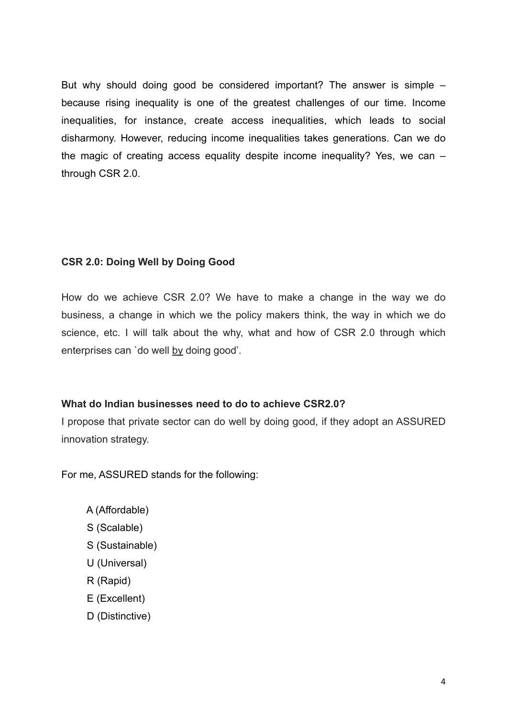But why should doing good be considered important? The answer is simple – because rising inequality is one of the greatest challenges of our time. Income inequalities, for instance, create access inequalities, which leads to social disharmony. However, reducing income inequalities takes generations. Can we do the magic of creating access equality despite income inequality? Yes, we can – through CSR 2.0.

#### **CSR 2.0: Doing Well by Doing Good**

How do we achieve CSR 2.0? We have to make a change in the way we do business, a change in which we the policy makers think, the way in which we do science, etc. I will talk about the why, what and how of CSR 2.0 through which enterprises can `do well by doing good'.

#### **What do Indian businesses need to do to achieve CSR2.0?**

I propose that private sector can do well by doing good, if they adopt an ASSURED innovation strategy.

For me, ASSURED stands for the following:

- A (Affordable)
- S (Scalable)
- S (Sustainable)
- U (Universal)
- R (Rapid)
- E (Excellent)
- D (Distinctive)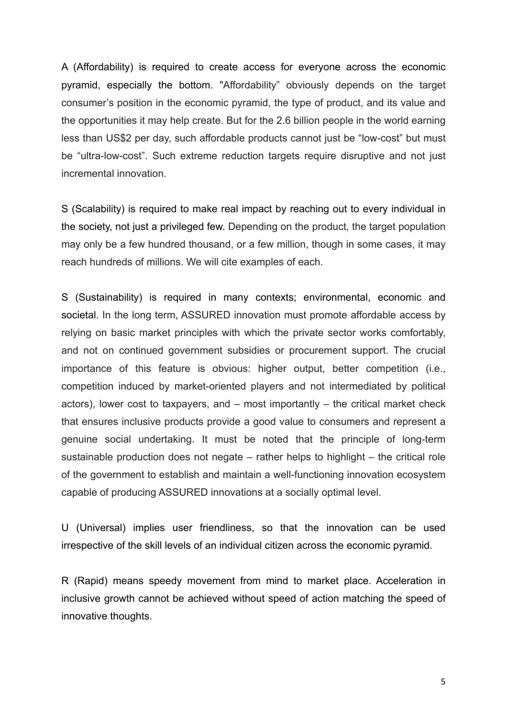A (Affordability) is required to create access for everyone across the economic pyramid, especially the bottom. "Affordability" obviously depends on the target consumer's position in the economic pyramid, the type of product, and its value and the opportunities it may help create. But for the 2.6 billion people in the world earning less than US\$2 per day, such affordable products cannot just be "low-cost" but must be "ultra-low-cost". Such extreme reduction targets require disruptive and not just incremental innovation.

S (Scalability) is required to make real impact by reaching out to every individual in the society, not just a privileged few. Depending on the product, the target population may only be a few hundred thousand, or a few million, though in some cases, it may reach hundreds of millions. We will cite examples of each.

S (Sustainability) is required in many contexts; environmental, economic and societal. In the long term, ASSURED innovation must promote affordable access by relying on basic market principles with which the private sector works comfortably, and not on continued government subsidies or procurement support. The crucial importance of this feature is obvious: higher output, better competition (i.e., competition induced by market-oriented players and not intermediated by political actors), lower cost to taxpayers, and  $-$  most importantly  $-$  the critical market check that ensures inclusive products provide a good value to consumers and represent a genuine social undertaking. It must be noted that the principle of long-term sustainable production does not negate – rather helps to highlight – the critical role of the government to establish and maintain a well-functioning innovation ecosystem capable of producing ASSURED innovations at a socially optimal level.

U (Universal) implies user friendliness, so that the innovation can be used irrespective of the skill levels of an individual citizen across the economic pyramid.

R (Rapid) means speedy movement from mind to market place. Acceleration in inclusive growth cannot be achieved without speed of action matching the speed of innovative thoughts.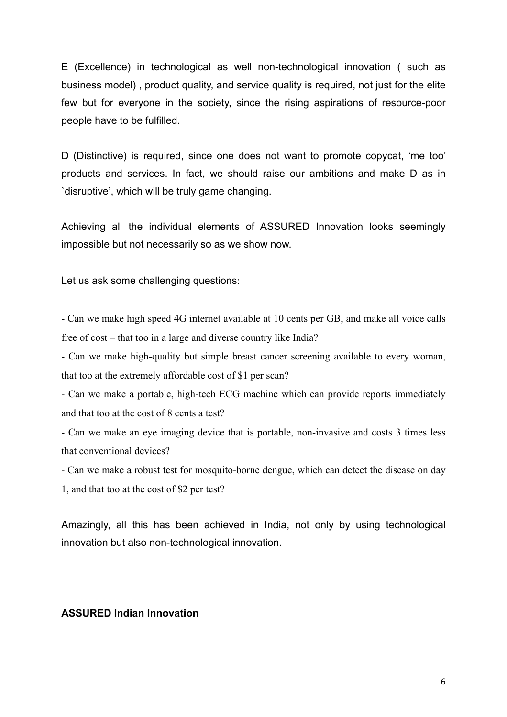E (Excellence) in technological as well non-technological innovation ( such as business model) , product quality, and service quality is required, not just for the elite few but for everyone in the society, since the rising aspirations of resource-poor people have to be fulfilled.

D (Distinctive) is required, since one does not want to promote copycat, 'me too' products and services. In fact, we should raise our ambitions and make D as in `disruptive', which will be truly game changing.

Achieving all the individual elements of ASSURED Innovation looks seemingly impossible but not necessarily so as we show now.

Let us ask some challenging questions:

- Can we make high speed 4G internet available at 10 cents per GB, and make all voice calls free of cost – that too in a large and diverse country like India?

- Can we make high-quality but simple breast cancer screening available to every woman, that too at the extremely affordable cost of \$1 per scan?

- Can we make a portable, high-tech ECG machine which can provide reports immediately and that too at the cost of 8 cents a test?

- Can we make an eye imaging device that is portable, non-invasive and costs 3 times less that conventional devices?

- Can we make a robust test for mosquito-borne dengue, which can detect the disease on day 1, and that too at the cost of \$2 per test?

Amazingly, all this has been achieved in India, not only by using technological innovation but also non-technological innovation.

### **ASSURED Indian Innovation**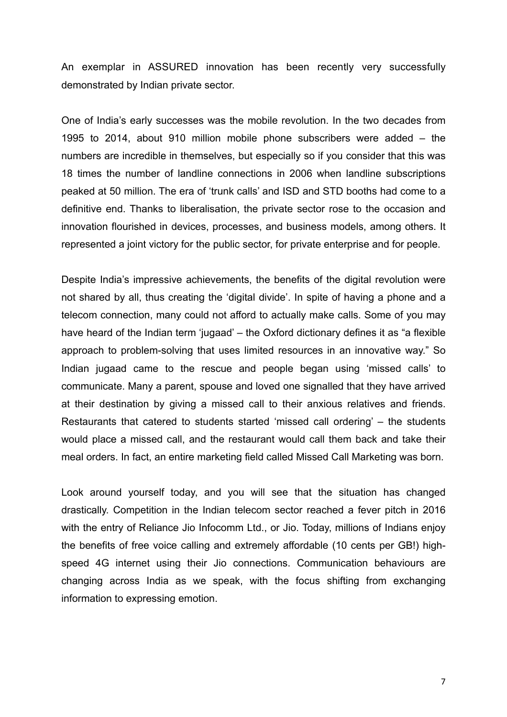An exemplar in ASSURED innovation has been recently very successfully demonstrated by Indian private sector.

One of India's early successes was the mobile revolution. In the two decades from 1995 to 2014, about 910 million mobile phone subscribers were added – the numbers are incredible in themselves, but especially so if you consider that this was 18 times the number of landline connections in 2006 when landline subscriptions peaked at 50 million. The era of 'trunk calls' and ISD and STD booths had come to a definitive end. Thanks to liberalisation, the private sector rose to the occasion and innovation flourished in devices, processes, and business models, among others. It represented a joint victory for the public sector, for private enterprise and for people.

Despite India's impressive achievements, the benefits of the digital revolution were not shared by all, thus creating the 'digital divide'. In spite of having a phone and a telecom connection, many could not afford to actually make calls. Some of you may have heard of the Indian term 'jugaad' – the Oxford dictionary defines it as "a flexible approach to problem-solving that uses limited resources in an innovative way." So Indian jugaad came to the rescue and people began using 'missed calls' to communicate. Many a parent, spouse and loved one signalled that they have arrived at their destination by giving a missed call to their anxious relatives and friends. Restaurants that catered to students started 'missed call ordering' – the students would place a missed call, and the restaurant would call them back and take their meal orders. In fact, an entire marketing field called Missed Call Marketing was born.

Look around yourself today, and you will see that the situation has changed drastically. Competition in the Indian telecom sector reached a fever pitch in 2016 with the entry of Reliance Jio Infocomm Ltd., or Jio. Today, millions of Indians enjoy the benefits of free voice calling and extremely affordable (10 cents per GB!) highspeed 4G internet using their Jio connections. Communication behaviours are changing across India as we speak, with the focus shifting from exchanging information to expressing emotion.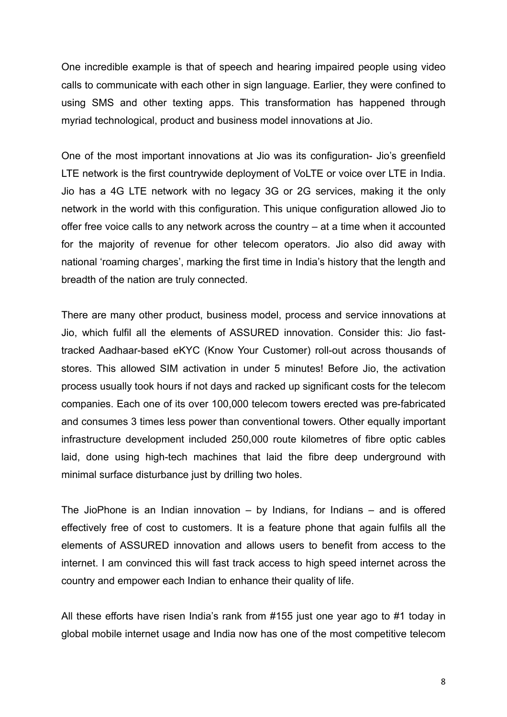One incredible example is that of speech and hearing impaired people using video calls to communicate with each other in sign language. Earlier, they were confined to using SMS and other texting apps. This transformation has happened through myriad technological, product and business model innovations at Jio.

One of the most important innovations at Jio was its configuration- Jio's greenfield LTE network is the first countrywide deployment of VoLTE or voice over LTE in India. Jio has a 4G LTE network with no legacy 3G or 2G services, making it the only network in the world with this configuration. This unique configuration allowed Jio to offer free voice calls to any network across the country – at a time when it accounted for the majority of revenue for other telecom operators. Jio also did away with national 'roaming charges', marking the first time in India's history that the length and breadth of the nation are truly connected.

There are many other product, business model, process and service innovations at Jio, which fulfil all the elements of ASSURED innovation. Consider this: Jio fasttracked Aadhaar-based eKYC (Know Your Customer) roll-out across thousands of stores. This allowed SIM activation in under 5 minutes! Before Jio, the activation process usually took hours if not days and racked up significant costs for the telecom companies. Each one of its over 100,000 telecom towers erected was pre-fabricated and consumes 3 times less power than conventional towers. Other equally important infrastructure development included 250,000 route kilometres of fibre optic cables laid, done using high-tech machines that laid the fibre deep underground with minimal surface disturbance just by drilling two holes.

The JioPhone is an Indian innovation  $-$  by Indians, for Indians  $-$  and is offered effectively free of cost to customers. It is a feature phone that again fulfils all the elements of ASSURED innovation and allows users to benefit from access to the internet. I am convinced this will fast track access to high speed internet across the country and empower each Indian to enhance their quality of life.

All these efforts have risen India's rank from #155 just one year ago to #1 today in global mobile internet usage and India now has one of the most competitive telecom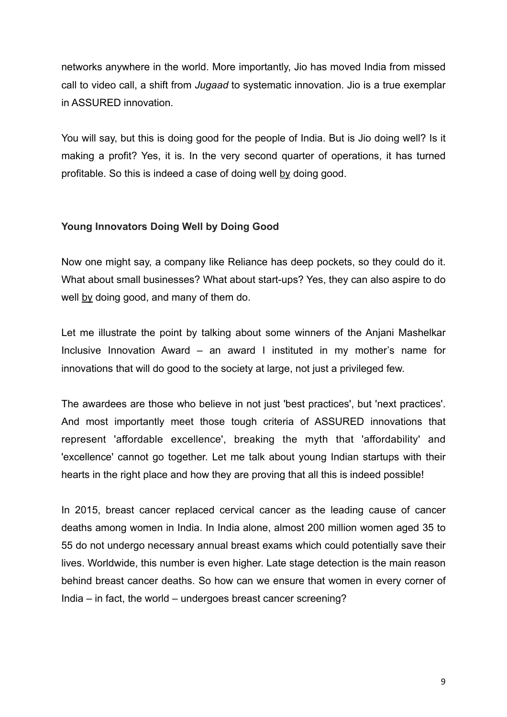networks anywhere in the world. More importantly, Jio has moved India from missed call to video call, a shift from *Jugaad* to systematic innovation. Jio is a true exemplar in ASSURED innovation.

You will say, but this is doing good for the people of India. But is Jio doing well? Is it making a profit? Yes, it is. In the very second quarter of operations, it has turned profitable. So this is indeed a case of doing well by doing good.

# **Young Innovators Doing Well by Doing Good**

Now one might say, a company like Reliance has deep pockets, so they could do it. What about small businesses? What about start-ups? Yes, they can also aspire to do well by doing good, and many of them do.

Let me illustrate the point by talking about some winners of the Anjani Mashelkar Inclusive Innovation Award – an award I instituted in my mother's name for innovations that will do good to the society at large, not just a privileged few.

The awardees are those who believe in not just 'best practices', but 'next practices'. And most importantly meet those tough criteria of ASSURED innovations that represent 'affordable excellence', breaking the myth that 'affordability' and 'excellence' cannot go together. Let me talk about young Indian startups with their hearts in the right place and how they are proving that all this is indeed possible!

In 2015, breast cancer replaced cervical cancer as the leading cause of cancer deaths among women in India. In India alone, almost 200 million women aged 35 to 55 do not undergo necessary annual breast exams which could potentially save their lives. Worldwide, this number is even higher. Late stage detection is the main reason behind breast cancer deaths. So how can we ensure that women in every corner of India – in fact, the world – undergoes breast cancer screening?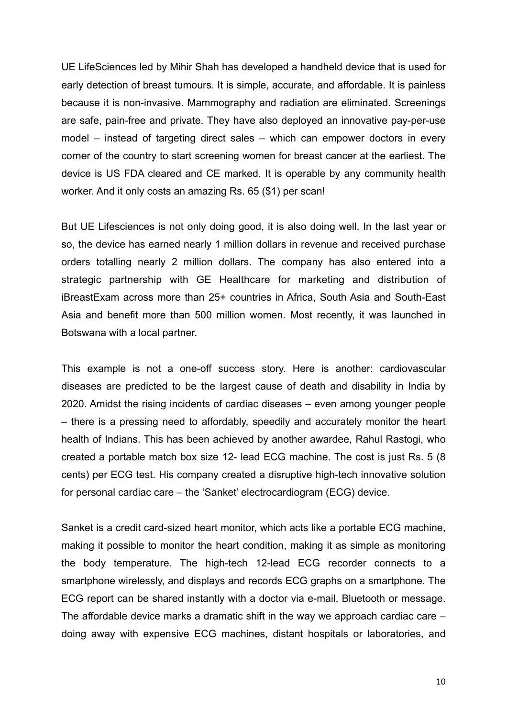UE LifeSciences led by Mihir Shah has developed a handheld device that is used for early detection of breast tumours. It is simple, accurate, and affordable. It is painless because it is non-invasive. Mammography and radiation are eliminated. Screenings are safe, pain-free and private. They have also deployed an innovative pay-per-use model – instead of targeting direct sales – which can empower doctors in every corner of the country to start screening women for breast cancer at the earliest. The device is US FDA cleared and CE marked. It is operable by any community health worker. And it only costs an amazing Rs. 65 (\$1) per scan!

But UE Lifesciences is not only doing good, it is also doing well. In the last year or so, the device has earned nearly 1 million dollars in revenue and received purchase orders totalling nearly 2 million dollars. The company has also entered into a strategic partnership with GE Healthcare for marketing and distribution of iBreastExam across more than 25+ countries in Africa, South Asia and South-East Asia and benefit more than 500 million women. Most recently, it was launched in Botswana with a local partner.

This example is not a one-off success story. Here is another: cardiovascular diseases are predicted to be the largest cause of death and disability in India by 2020. Amidst the rising incidents of cardiac diseases – even among younger people – there is a pressing need to affordably, speedily and accurately monitor the heart health of Indians. This has been achieved by another awardee, Rahul Rastogi, who created a portable match box size 12- lead ECG machine. The cost is just Rs. 5 (8 cents) per ECG test. His company created a disruptive high-tech innovative solution for personal cardiac care – the 'Sanket' electrocardiogram (ECG) device.

Sanket is a credit card-sized heart monitor, which acts like a portable ECG machine, making it possible to monitor the heart condition, making it as simple as monitoring the body temperature. The high-tech 12-lead ECG recorder connects to a smartphone wirelessly, and displays and records ECG graphs on a smartphone. The ECG report can be shared instantly with a doctor via e-mail, Bluetooth or message. The affordable device marks a dramatic shift in the way we approach cardiac care – doing away with expensive ECG machines, distant hospitals or laboratories, and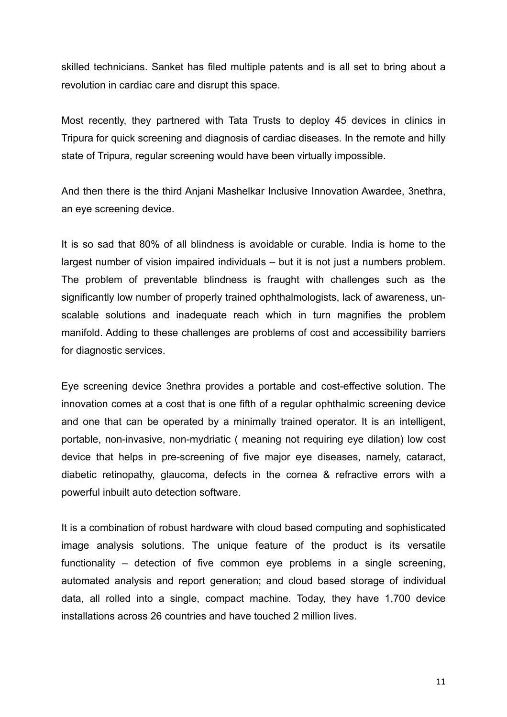skilled technicians. Sanket has filed multiple patents and is all set to bring about a revolution in cardiac care and disrupt this space.

Most recently, they partnered with Tata Trusts to deploy 45 devices in clinics in Tripura for quick screening and diagnosis of cardiac diseases. In the remote and hilly state of Tripura, regular screening would have been virtually impossible.

And then there is the third Anjani Mashelkar Inclusive Innovation Awardee, 3nethra, an eye screening device.

It is so sad that 80% of all blindness is avoidable or curable. India is home to the largest number of vision impaired individuals – but it is not just a numbers problem. The problem of preventable blindness is fraught with challenges such as the significantly low number of properly trained ophthalmologists, lack of awareness, unscalable solutions and inadequate reach which in turn magnifies the problem manifold. Adding to these challenges are problems of cost and accessibility barriers for diagnostic services.

Eye screening device 3nethra provides a portable and cost-effective solution. The innovation comes at a cost that is one fifth of a regular ophthalmic screening device and one that can be operated by a minimally trained operator. It is an intelligent, portable, non-invasive, non-mydriatic ( meaning not requiring eye dilation) low cost device that helps in pre-screening of five major eye diseases, namely, cataract, diabetic retinopathy, glaucoma, defects in the cornea & refractive errors with a powerful inbuilt auto detection software.

It is a combination of robust hardware with cloud based computing and sophisticated image analysis solutions. The unique feature of the product is its versatile functionality – detection of five common eye problems in a single screening, automated analysis and report generation; and cloud based storage of individual data, all rolled into a single, compact machine. Today, they have 1,700 device installations across 26 countries and have touched 2 million lives.

11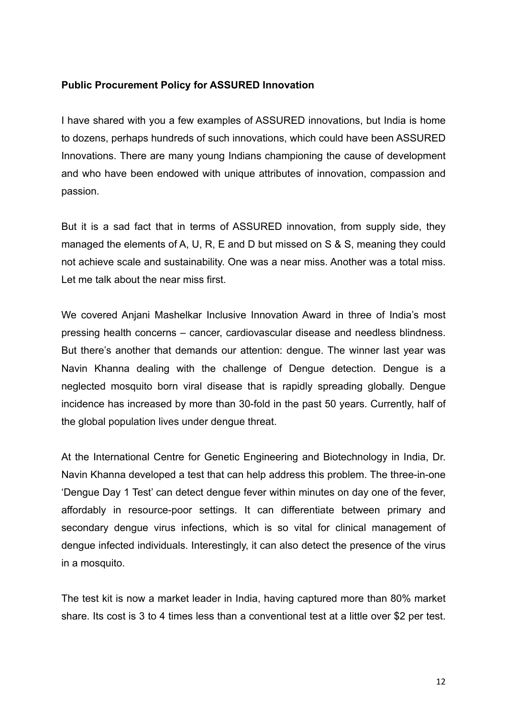# **Public Procurement Policy for ASSURED Innovation**

I have shared with you a few examples of ASSURED innovations, but India is home to dozens, perhaps hundreds of such innovations, which could have been ASSURED Innovations. There are many young Indians championing the cause of development and who have been endowed with unique attributes of innovation, compassion and passion.

But it is a sad fact that in terms of ASSURED innovation, from supply side, they managed the elements of A, U, R, E and D but missed on S & S, meaning they could not achieve scale and sustainability. One was a near miss. Another was a total miss. Let me talk about the near miss first.

We covered Anjani Mashelkar Inclusive Innovation Award in three of India's most pressing health concerns – cancer, cardiovascular disease and needless blindness. But there's another that demands our attention: dengue. The winner last year was Navin Khanna dealing with the challenge of Dengue detection. Dengue is a neglected mosquito born viral disease that is rapidly spreading globally. Dengue incidence has increased by more than 30-fold in the past 50 years. Currently, half of the global population lives under dengue threat.

At the International Centre for Genetic Engineering and Biotechnology in India, Dr. Navin Khanna developed a test that can help address this problem. The three-in-one 'Dengue Day 1 Test' can detect dengue fever within minutes on day one of the fever, affordably in resource-poor settings. It can differentiate between primary and secondary dengue virus infections, which is so vital for clinical management of dengue infected individuals. Interestingly, it can also detect the presence of the virus in a mosquito.

The test kit is now a market leader in India, having captured more than 80% market share. Its cost is 3 to 4 times less than a conventional test at a little over \$2 per test.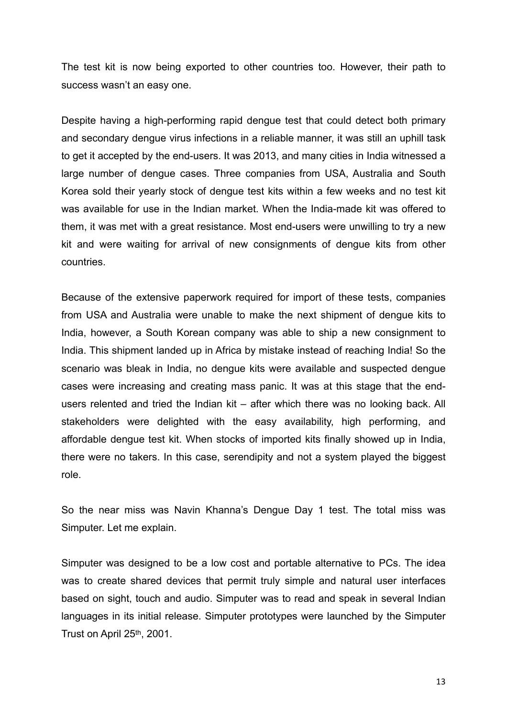The test kit is now being exported to other countries too. However, their path to success wasn't an easy one.

Despite having a high-performing rapid dengue test that could detect both primary and secondary dengue virus infections in a reliable manner, it was still an uphill task to get it accepted by the end-users. It was 2013, and many cities in India witnessed a large number of dengue cases. Three companies from USA, Australia and South Korea sold their yearly stock of dengue test kits within a few weeks and no test kit was available for use in the Indian market. When the India-made kit was offered to them, it was met with a great resistance. Most end-users were unwilling to try a new kit and were waiting for arrival of new consignments of dengue kits from other countries.

Because of the extensive paperwork required for import of these tests, companies from USA and Australia were unable to make the next shipment of dengue kits to India, however, a South Korean company was able to ship a new consignment to India. This shipment landed up in Africa by mistake instead of reaching India! So the scenario was bleak in India, no dengue kits were available and suspected dengue cases were increasing and creating mass panic. It was at this stage that the endusers relented and tried the Indian kit – after which there was no looking back. All stakeholders were delighted with the easy availability, high performing, and affordable dengue test kit. When stocks of imported kits finally showed up in India, there were no takers. In this case, serendipity and not a system played the biggest role.

So the near miss was Navin Khanna's Dengue Day 1 test. The total miss was Simputer. Let me explain.

Simputer was designed to be a low cost and portable alternative to PCs. The idea was to create shared devices that permit truly simple and natural user interfaces based on sight, touch and audio. Simputer was to read and speak in several Indian languages in its initial release. Simputer prototypes were launched by the Simputer Trust on April 25th, 2001.

13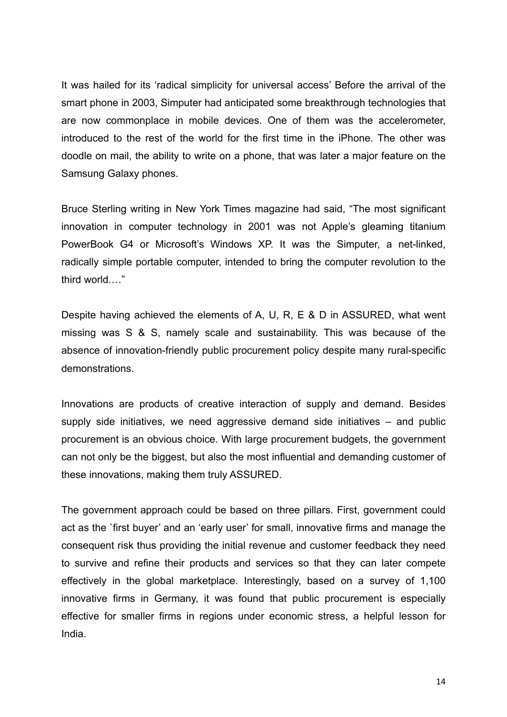It was hailed for its 'radical simplicity for universal access' Before the arrival of the smart phone in 2003, Simputer had anticipated some breakthrough technologies that are now commonplace in mobile devices. One of them was the accelerometer, introduced to the rest of the world for the first time in the iPhone. The other was doodle on mail, the ability to write on a phone, that was later a major feature on the Samsung Galaxy phones.

Bruce Sterling writing in New York Times magazine had said, "The most significant innovation in computer technology in 2001 was not Apple's gleaming titanium PowerBook G4 or Microsoft's Windows XP. It was the Simputer, a net-linked, radically simple portable computer, intended to bring the computer revolution to the third world.…"

Despite having achieved the elements of A, U, R, E & D in ASSURED, what went missing was S & S, namely scale and sustainability. This was because of the absence of innovation-friendly public procurement policy despite many rural-specific demonstrations.

Innovations are products of creative interaction of supply and demand. Besides supply side initiatives, we need aggressive demand side initiatives – and public procurement is an obvious choice. With large procurement budgets, the government can not only be the biggest, but also the most influential and demanding customer of these innovations, making them truly ASSURED.

The government approach could be based on three pillars. First, government could act as the `first buyer' and an 'early user' for small, innovative firms and manage the consequent risk thus providing the initial revenue and customer feedback they need to survive and refine their products and services so that they can later compete effectively in the global marketplace. Interestingly, based on a survey of 1,100 innovative firms in Germany, it was found that public procurement is especially effective for smaller firms in regions under economic stress, a helpful lesson for India.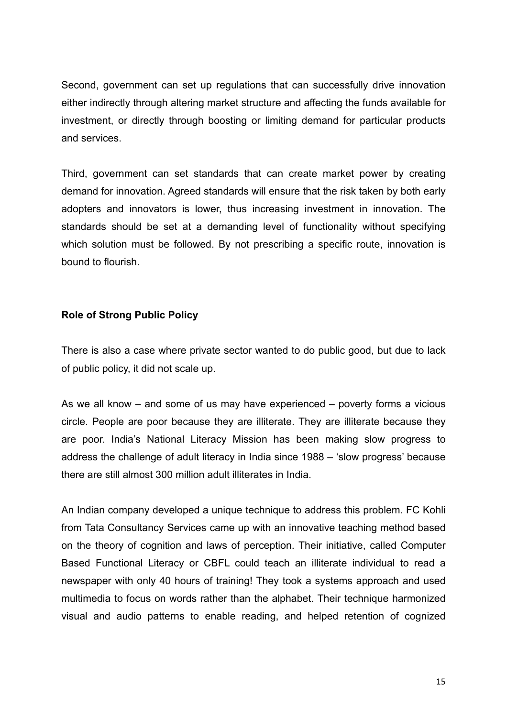Second, government can set up regulations that can successfully drive innovation either indirectly through altering market structure and affecting the funds available for investment, or directly through boosting or limiting demand for particular products and services.

Third, government can set standards that can create market power by creating demand for innovation. Agreed standards will ensure that the risk taken by both early adopters and innovators is lower, thus increasing investment in innovation. The standards should be set at a demanding level of functionality without specifying which solution must be followed. By not prescribing a specific route, innovation is bound to flourish.

#### **Role of Strong Public Policy**

There is also a case where private sector wanted to do public good, but due to lack of public policy, it did not scale up.

As we all know – and some of us may have experienced – poverty forms a vicious circle. People are poor because they are illiterate. They are illiterate because they are poor. India's National Literacy Mission has been making slow progress to address the challenge of adult literacy in India since 1988 – 'slow progress' because there are still almost 300 million adult illiterates in India.

An Indian company developed a unique technique to address this problem. FC Kohli from Tata Consultancy Services came up with an innovative teaching method based on the theory of cognition and laws of perception. Their initiative, called Computer Based Functional Literacy or CBFL could teach an illiterate individual to read a newspaper with only 40 hours of training! They took a systems approach and used multimedia to focus on words rather than the alphabet. Their technique harmonized visual and audio patterns to enable reading, and helped retention of cognized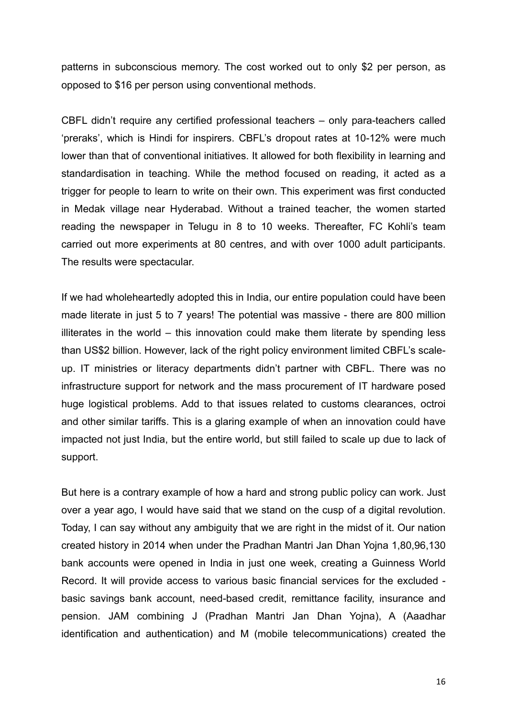patterns in subconscious memory. The cost worked out to only \$2 per person, as opposed to \$16 per person using conventional methods.

CBFL didn't require any certified professional teachers – only para-teachers called 'preraks', which is Hindi for inspirers. CBFL's dropout rates at 10-12% were much lower than that of conventional initiatives. It allowed for both flexibility in learning and standardisation in teaching. While the method focused on reading, it acted as a trigger for people to learn to write on their own. This experiment was first conducted in Medak village near Hyderabad. Without a trained teacher, the women started reading the newspaper in Telugu in 8 to 10 weeks. Thereafter, FC Kohli's team carried out more experiments at 80 centres, and with over 1000 adult participants. The results were spectacular.

If we had wholeheartedly adopted this in India, our entire population could have been made literate in just 5 to 7 years! The potential was massive - there are 800 million illiterates in the world – this innovation could make them literate by spending less than US\$2 billion. However, lack of the right policy environment limited CBFL's scaleup. IT ministries or literacy departments didn't partner with CBFL. There was no infrastructure support for network and the mass procurement of IT hardware posed huge logistical problems. Add to that issues related to customs clearances, octroi and other similar tariffs. This is a glaring example of when an innovation could have impacted not just India, but the entire world, but still failed to scale up due to lack of support.

But here is a contrary example of how a hard and strong public policy can work. Just over a year ago, I would have said that we stand on the cusp of a digital revolution. Today, I can say without any ambiguity that we are right in the midst of it. Our nation created history in 2014 when under the Pradhan Mantri Jan Dhan Yojna 1,80,96,130 bank accounts were opened in India in just one week, creating a Guinness World Record. It will provide access to various basic financial services for the excluded basic savings bank account, need-based credit, remittance facility, insurance and pension. JAM combining J (Pradhan Mantri Jan Dhan Yojna), A (Aaadhar identification and authentication) and M (mobile telecommunications) created the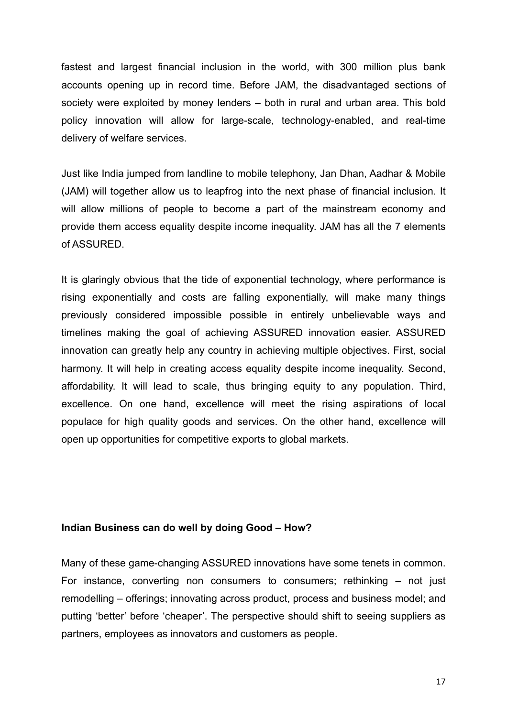fastest and largest financial inclusion in the world, with 300 million plus bank accounts opening up in record time. Before JAM, the disadvantaged sections of society were exploited by money lenders – both in rural and urban area. This bold policy innovation will allow for large-scale, technology-enabled, and real-time delivery of welfare services.

Just like India jumped from landline to mobile telephony, Jan Dhan, Aadhar & Mobile (JAM) will together allow us to leapfrog into the next phase of financial inclusion. It will allow millions of people to become a part of the mainstream economy and provide them access equality despite income inequality. JAM has all the 7 elements of ASSURED.

It is glaringly obvious that the tide of exponential technology, where performance is rising exponentially and costs are falling exponentially, will make many things previously considered impossible possible in entirely unbelievable ways and timelines making the goal of achieving ASSURED innovation easier. ASSURED innovation can greatly help any country in achieving multiple objectives. First, social harmony. It will help in creating access equality despite income inequality. Second, affordability. It will lead to scale, thus bringing equity to any population. Third, excellence. On one hand, excellence will meet the rising aspirations of local populace for high quality goods and services. On the other hand, excellence will open up opportunities for competitive exports to global markets.

#### **Indian Business can do well by doing Good – How?**

Many of these game-changing ASSURED innovations have some tenets in common. For instance, converting non consumers to consumers; rethinking – not just remodelling – offerings; innovating across product, process and business model; and putting 'better' before 'cheaper'. The perspective should shift to seeing suppliers as partners, employees as innovators and customers as people.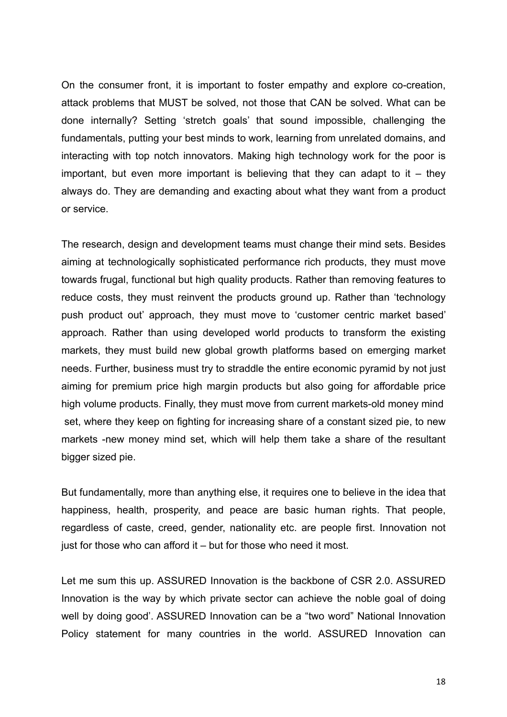On the consumer front, it is important to foster empathy and explore co-creation, attack problems that MUST be solved, not those that CAN be solved. What can be done internally? Setting 'stretch goals' that sound impossible, challenging the fundamentals, putting your best minds to work, learning from unrelated domains, and interacting with top notch innovators. Making high technology work for the poor is important, but even more important is believing that they can adapt to it  $-$  they always do. They are demanding and exacting about what they want from a product or service.

The research, design and development teams must change their mind sets. Besides aiming at technologically sophisticated performance rich products, they must move towards frugal, functional but high quality products. Rather than removing features to reduce costs, they must reinvent the products ground up. Rather than 'technology push product out' approach, they must move to 'customer centric market based' approach. Rather than using developed world products to transform the existing markets, they must build new global growth platforms based on emerging market needs. Further, business must try to straddle the entire economic pyramid by not just aiming for premium price high margin products but also going for affordable price high volume products. Finally, they must move from current markets-old money mind set, where they keep on fighting for increasing share of a constant sized pie, to new markets -new money mind set, which will help them take a share of the resultant bigger sized pie.

But fundamentally, more than anything else, it requires one to believe in the idea that happiness, health, prosperity, and peace are basic human rights. That people, regardless of caste, creed, gender, nationality etc. are people first. Innovation not just for those who can afford it – but for those who need it most.

Let me sum this up. ASSURED Innovation is the backbone of CSR 2.0. ASSURED Innovation is the way by which private sector can achieve the noble goal of doing well by doing good'. ASSURED Innovation can be a "two word" National Innovation Policy statement for many countries in the world. ASSURED Innovation can